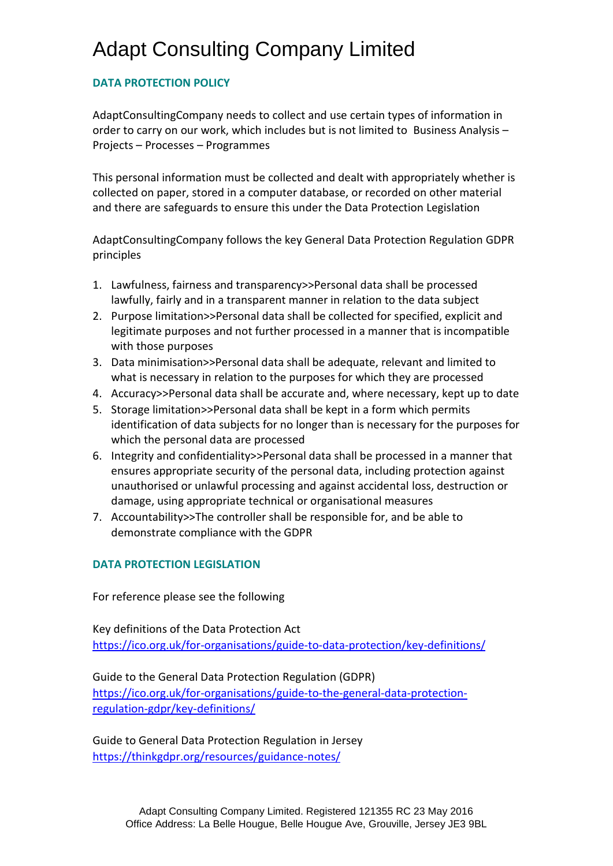# Adapt Consulting Company Limited

## **DATA PROTECTION POLICY**

AdaptConsultingCompany needs to collect and use certain types of information in order to carry on our work, which includes but is not limited to Business Analysis – Projects – Processes – Programmes

This personal information must be collected and dealt with appropriately whether is collected on paper, stored in a computer database, or recorded on other material and there are safeguards to ensure this under the Data Protection Legislation

AdaptConsultingCompany follows the key General Data Protection Regulation GDPR principles

- 1. Lawfulness, fairness and transparency>>Personal data shall be processed lawfully, fairly and in a transparent manner in relation to the data subject
- 2. Purpose limitation>>Personal data shall be collected for specified, explicit and legitimate purposes and not further processed in a manner that is incompatible with those purposes
- 3. Data minimisation>>Personal data shall be adequate, relevant and limited to what is necessary in relation to the purposes for which they are processed
- 4. Accuracy>>Personal data shall be accurate and, where necessary, kept up to date
- 5. Storage limitation>>Personal data shall be kept in a form which permits identification of data subjects for no longer than is necessary for the purposes for which the personal data are processed
- 6. Integrity and confidentiality>>Personal data shall be processed in a manner that ensures appropriate security of the personal data, including protection against unauthorised or unlawful processing and against accidental loss, destruction or damage, using appropriate technical or organisational measures
- 7. Accountability>>The controller shall be responsible for, and be able to demonstrate compliance with the GDPR

## **DATA PROTECTION LEGISLATION**

For reference please see the following

Key definitions of the Data Protection Act <https://ico.org.uk/for-organisations/guide-to-data-protection/key-definitions/>

Guide to the General Data Protection Regulation (GDPR)

[https://ico.org.uk/for-organisations/guide-to-the-general-data-protection](https://ico.org.uk/for-organisations/guide-to-the-general-data-protection-regulation-gdpr/key-definitions/)[regulation-gdpr/key-definitions/](https://ico.org.uk/for-organisations/guide-to-the-general-data-protection-regulation-gdpr/key-definitions/)

Guide to General Data Protection Regulation in Jersey <https://thinkgdpr.org/resources/guidance-notes/>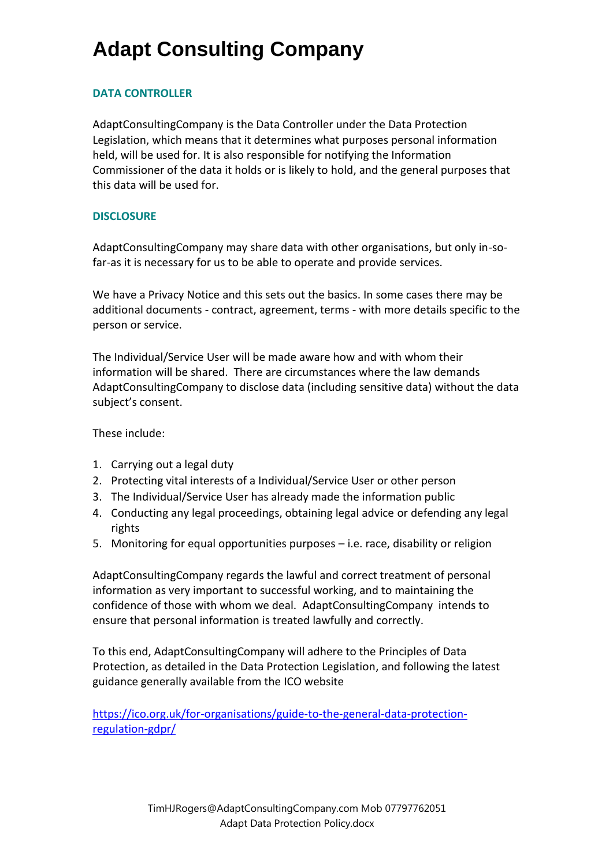### **DATA CONTROLLER**

AdaptConsultingCompany is the Data Controller under the Data Protection Legislation, which means that it determines what purposes personal information held, will be used for. It is also responsible for notifying the Information Commissioner of the data it holds or is likely to hold, and the general purposes that this data will be used for.

### **DISCLOSURE**

AdaptConsultingCompany may share data with other organisations, but only in-sofar-as it is necessary for us to be able to operate and provide services.

We have a Privacy Notice and this sets out the basics. In some cases there may be additional documents - contract, agreement, terms - with more details specific to the person or service.

The Individual/Service User will be made aware how and with whom their information will be shared. There are circumstances where the law demands AdaptConsultingCompany to disclose data (including sensitive data) without the data subject's consent.

These include:

- 1. Carrying out a legal duty
- 2. Protecting vital interests of a Individual/Service User or other person
- 3. The Individual/Service User has already made the information public
- 4. Conducting any legal proceedings, obtaining legal advice or defending any legal rights
- 5. Monitoring for equal opportunities purposes i.e. race, disability or religion

AdaptConsultingCompany regards the lawful and correct treatment of personal information as very important to successful working, and to maintaining the confidence of those with whom we deal. AdaptConsultingCompany intends to ensure that personal information is treated lawfully and correctly.

To this end, AdaptConsultingCompany will adhere to the Principles of Data Protection, as detailed in the Data Protection Legislation, and following the latest guidance generally available from the ICO website

[https://ico.org.uk/for-organisations/guide-to-the-general-data-protection](https://ico.org.uk/for-organisations/guide-to-the-general-data-protection-regulation-gdpr/)[regulation-gdpr/](https://ico.org.uk/for-organisations/guide-to-the-general-data-protection-regulation-gdpr/)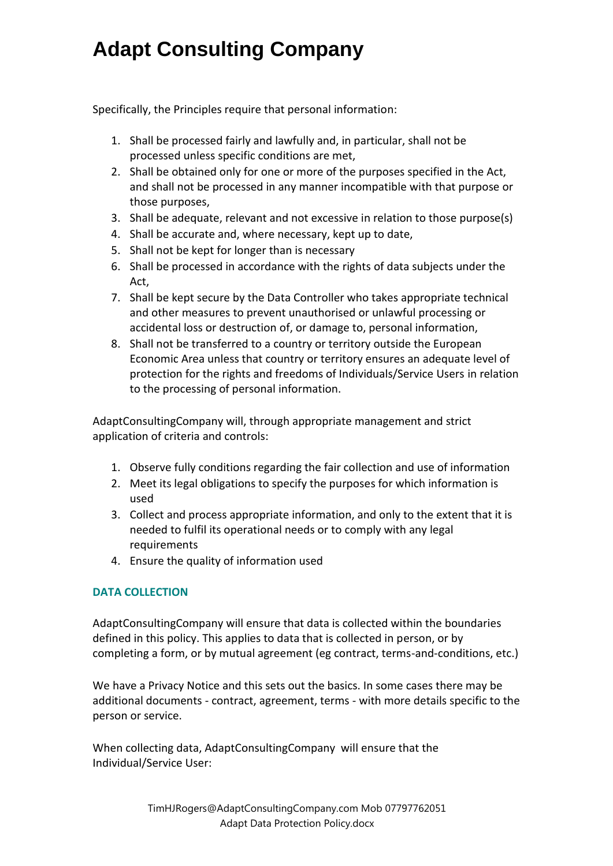Specifically, the Principles require that personal information:

- 1. Shall be processed fairly and lawfully and, in particular, shall not be processed unless specific conditions are met,
- 2. Shall be obtained only for one or more of the purposes specified in the Act, and shall not be processed in any manner incompatible with that purpose or those purposes,
- 3. Shall be adequate, relevant and not excessive in relation to those purpose(s)
- 4. Shall be accurate and, where necessary, kept up to date,
- 5. Shall not be kept for longer than is necessary
- 6. Shall be processed in accordance with the rights of data subjects under the Act,
- 7. Shall be kept secure by the Data Controller who takes appropriate technical and other measures to prevent unauthorised or unlawful processing or accidental loss or destruction of, or damage to, personal information,
- 8. Shall not be transferred to a country or territory outside the European Economic Area unless that country or territory ensures an adequate level of protection for the rights and freedoms of Individuals/Service Users in relation to the processing of personal information.

AdaptConsultingCompany will, through appropriate management and strict application of criteria and controls:

- 1. Observe fully conditions regarding the fair collection and use of information
- 2. Meet its legal obligations to specify the purposes for which information is used
- 3. Collect and process appropriate information, and only to the extent that it is needed to fulfil its operational needs or to comply with any legal requirements
- 4. Ensure the quality of information used

## **DATA COLLECTION**

AdaptConsultingCompany will ensure that data is collected within the boundaries defined in this policy. This applies to data that is collected in person, or by completing a form, or by mutual agreement (eg contract, terms-and-conditions, etc.)

We have a Privacy Notice and this sets out the basics. In some cases there may be additional documents - contract, agreement, terms - with more details specific to the person or service.

When collecting data, AdaptConsultingCompany will ensure that the Individual/Service User: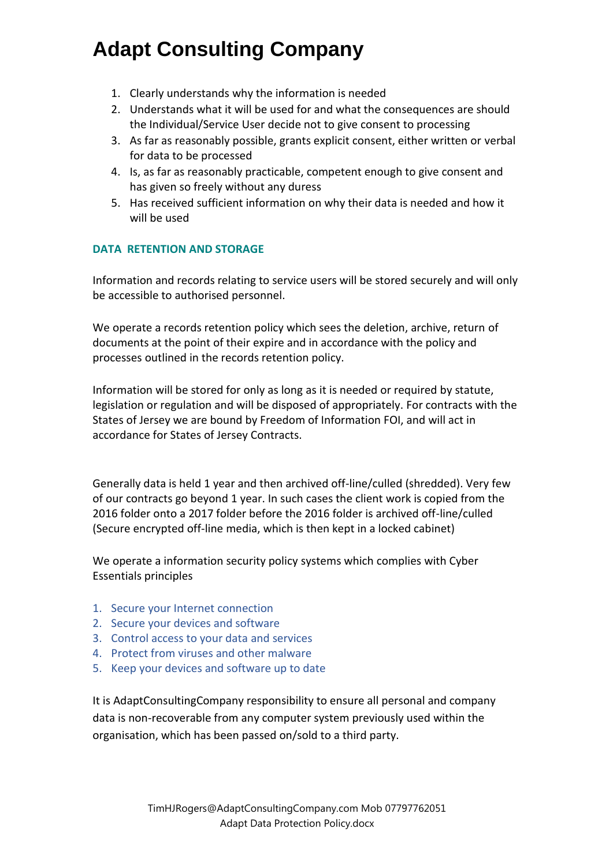- 1. Clearly understands why the information is needed
- 2. Understands what it will be used for and what the consequences are should the Individual/Service User decide not to give consent to processing
- 3. As far as reasonably possible, grants explicit consent, either written or verbal for data to be processed
- 4. Is, as far as reasonably practicable, competent enough to give consent and has given so freely without any duress
- 5. Has received sufficient information on why their data is needed and how it will be used

## **DATA RETENTION AND STORAGE**

Information and records relating to service users will be stored securely and will only be accessible to authorised personnel.

We operate a records retention policy which sees the deletion, archive, return of documents at the point of their expire and in accordance with the policy and processes outlined in the records retention policy.

Information will be stored for only as long as it is needed or required by statute, legislation or regulation and will be disposed of appropriately. For contracts with the States of Jersey we are bound by Freedom of Information FOI, and will act in accordance for States of Jersey Contracts.

Generally data is held 1 year and then archived off-line/culled (shredded). Very few of our contracts go beyond 1 year. In such cases the client work is copied from the 2016 folder onto a 2017 folder before the 2016 folder is archived off-line/culled (Secure encrypted off-line media, which is then kept in a locked cabinet)

We operate a information security policy systems which complies with Cyber Essentials principles

- 1. Secure your Internet connection
- 2. Secure your devices and software
- 3. Control access to your data and services
- 4. Protect from viruses and other malware
- 5. Keep your devices and software up to date

It is AdaptConsultingCompany responsibility to ensure all personal and company data is non-recoverable from any computer system previously used within the organisation, which has been passed on/sold to a third party.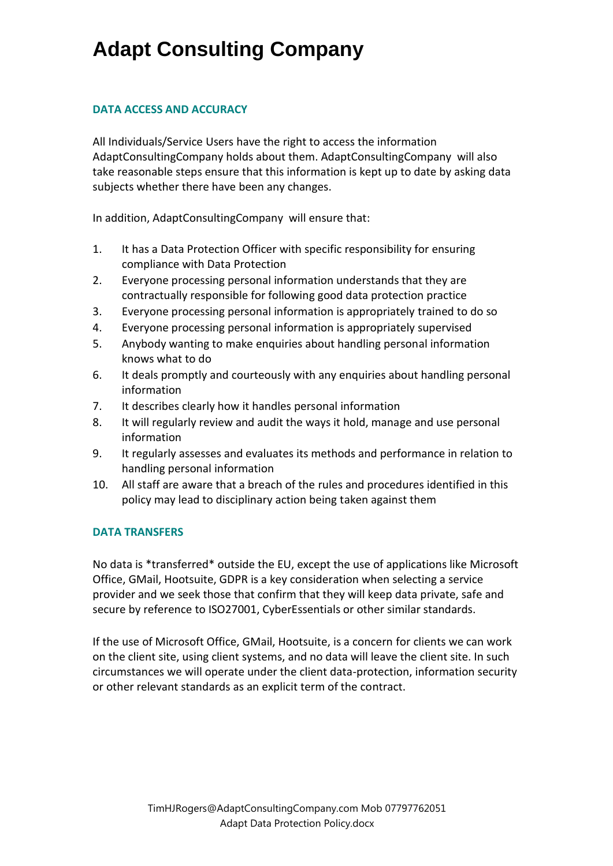### **DATA ACCESS AND ACCURACY**

All Individuals/Service Users have the right to access the information AdaptConsultingCompany holds about them. AdaptConsultingCompany will also take reasonable steps ensure that this information is kept up to date by asking data subjects whether there have been any changes.

In addition, AdaptConsultingCompany will ensure that:

- 1. It has a Data Protection Officer with specific responsibility for ensuring compliance with Data Protection
- 2. Everyone processing personal information understands that they are contractually responsible for following good data protection practice
- 3. Everyone processing personal information is appropriately trained to do so
- 4. Everyone processing personal information is appropriately supervised
- 5. Anybody wanting to make enquiries about handling personal information knows what to do
- 6. It deals promptly and courteously with any enquiries about handling personal information
- 7. It describes clearly how it handles personal information
- 8. It will regularly review and audit the ways it hold, manage and use personal information
- 9. It regularly assesses and evaluates its methods and performance in relation to handling personal information
- 10. All staff are aware that a breach of the rules and procedures identified in this policy may lead to disciplinary action being taken against them

## **DATA TRANSFERS**

No data is \*transferred\* outside the EU, except the use of applications like Microsoft Office, GMail, Hootsuite, GDPR is a key consideration when selecting a service provider and we seek those that confirm that they will keep data private, safe and secure by reference to ISO27001, CyberEssentials or other similar standards.

If the use of Microsoft Office, GMail, Hootsuite, is a concern for clients we can work on the client site, using client systems, and no data will leave the client site. In such circumstances we will operate under the client data-protection, information security or other relevant standards as an explicit term of the contract.